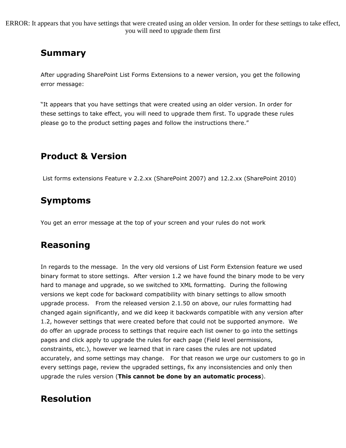ERROR: It appears that you have settings that were created using an older version. In order for these settings to take effect, you will need to upgrade them first

# Summary

After upgrading SharePoint List Forms Extensions to a newer version, you get the following error message:

"It appears that you have settings that were created using an older version. In order for these settings to take effect, you will need to upgrade them first. To upgrade these rules please go to the product setting pages and follow the instructions there."

## Product & Version

List forms extensions Feature v 2.2.xx (SharePoint 2007) and 12.2.xx (SharePoint 2010)

### Symptoms

You get an error message at the top of your screen and your rules do not work

### Reasoning

In regards to the message. In the very old versions of List Form Extension feature we used binary format to store settings. After version 1.2 we have found the binary mode to be very hard to manage and upgrade, so we switched to XML formatting. During the following versions we kept code for backward compatibility with binary settings to allow smooth upgrade process. From the released version 2.1.50 on above, our rules formatting had changed again significantly, and we did keep it backwards compatible with any version after 1.2, however settings that were created before that could not be supported anymore. We do offer an upgrade process to settings that require each list owner to go into the settings pages and click apply to upgrade the rules for each page (Field level permissions, constraints, etc.), however we learned that in rare cases the rules are not updated accurately, and some settings may change. For that reason we urge our customers to go in every settings page, review the upgraded settings, fix any inconsistencies and only then upgrade the rules version (This cannot be done by an automatic process).

### Resolution